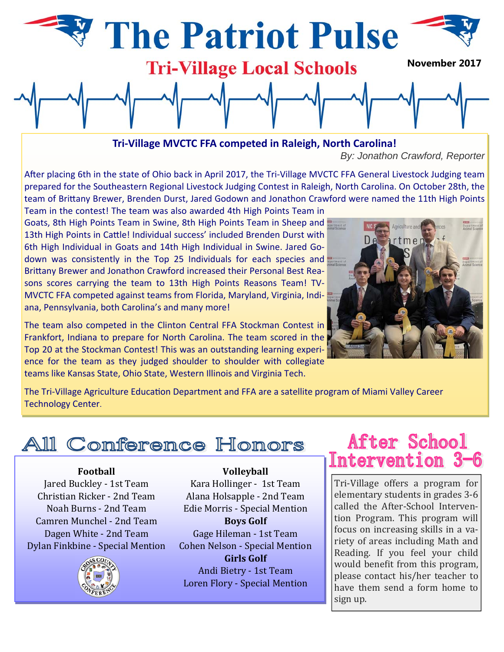

**Tri‐Village MVCTC FFA competed in Raleigh, North Carolina!**

*By: Jonathon Crawford, Reporter*

After placing 6th in the state of Ohio back in April 2017, the Tri-Village MVCTC FFA General Livestock Judging team prepared for the Southeastern Regional Livestock Judging Contest in Raleigh, North Carolina. On October 28th, the team of Brittany Brewer, Brenden Durst, Jared Godown and Jonathon Crawford were named the 11th High Points Team in the contest! The team was also awarded 4th High Points Team in

Goats, 8th High Points Team in Swine, 8th High Points Team in Sheep and 13th High Points in Cattle! Individual success' included Brenden Durst with 6th High Individual in Goats and 14th High Individual in Swine. Jared Go‐ down was consistently in the Top 25 Individuals for each species and Brittany Brewer and Jonathon Crawford increased their Personal Best Reasons scores carrying the team to 13th High Points Reasons Team! TV-MVCTC FFA competed against teams from Florida, Maryland, Virginia, Indiana, Pennsylvania, both Carolina's and many more!

The team also competed in the Clinton Central FFA Stockman Contest in Frankfort, Indiana to prepare for North Carolina. The team scored in the Top 20 at the Stockman Contest! This was an outstanding learning experi‐ ence for the team as they judged shoulder to shoulder with collegiate teams like Kansas State, Ohio State, Western Illinois and Virginia Tech.



The Tri-Village Agriculture Education Department and FFA are a satellite program of Miami Valley Career Technology Center.

# **All Conference Honors**

# **Football**

Jared Buckley - 1st Team Christian Ricker - 2nd Team Noah Burns - 2nd Team Camren Munchel - 2nd Team Dagen White - 2nd Team Dylan Finkbine - Special Mention



Kara Hollinger - 1st Team Alana Holsapple - 2nd Team Edie Morris - Special Mention **Boys Golf** Gage Hileman - 1st Team Cohen Nelson - Special Mention **Girls Golf** Andi Bietry - 1st Team Loren Flory - Special Mention

**Volleyball**

# **After School** Intervention 3-6

Tri-Village offers a program for elementary students in grades 3-6 called the After-School Intervention Program. This program will focus on increasing skills in a variety of areas including Math and Reading. If you feel your child would benefit from this program, please contact his/her teacher to have them send a form home to sign up.